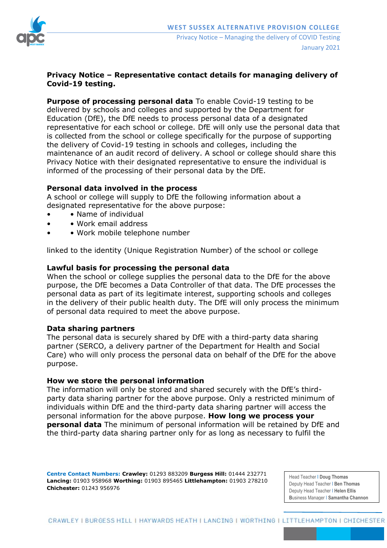

# **Privacy Notice – Representative contact details for managing delivery of Covid-19 testing.**

**Purpose of processing personal data** To enable Covid-19 testing to be delivered by schools and colleges and supported by the Department for Education (DfE), the DfE needs to process personal data of a designated representative for each school or college. DfE will only use the personal data that is collected from the school or college specifically for the purpose of supporting the delivery of Covid-19 testing in schools and colleges, including the maintenance of an audit record of delivery. A school or college should share this Privacy Notice with their designated representative to ensure the individual is informed of the processing of their personal data by the DfE.

# **Personal data involved in the process**

A school or college will supply to DfE the following information about a designated representative for the above purpose:

- Name of individual
- • Work email address
- Work mobile telephone number

linked to the identity (Unique Registration Number) of the school or college

### **Lawful basis for processing the personal data**

When the school or college supplies the personal data to the DfE for the above purpose, the DfE becomes a Data Controller of that data. The DfE processes the personal data as part of its legitimate interest, supporting schools and colleges in the delivery of their public health duty. The DfE will only process the minimum of personal data required to meet the above purpose.

### **Data sharing partners**

The personal data is securely shared by DfE with a third-party data sharing partner (SERCO, a delivery partner of the Department for Health and Social Care) who will only process the personal data on behalf of the DfE for the above purpose.

### **How we store the personal information**

The information will only be stored and shared securely with the DfE's thirdparty data sharing partner for the above purpose. Only a restricted minimum of individuals within DfE and the third-party data sharing partner will access the personal information for the above purpose. **How long we process your personal data** The minimum of personal information will be retained by DfE and the third-party data sharing partner only for as long as necessary to fulfil the

**Centre Contact Numbers: Crawley:** 01293 883209 **Burgess Hill:** 01444 232771 **Lancing:** 01903 958968 **Worthing:** 01903 895465 **Littlehampton:** 01903 278210 **Chichester:** 01243 956976

Head Teacher I **Doug Thomas** Deputy Head Teacher I **Ben Thomas** Deputy Head Teacher I **Helen Ellis B**usiness Manager I **Samantha Channon**